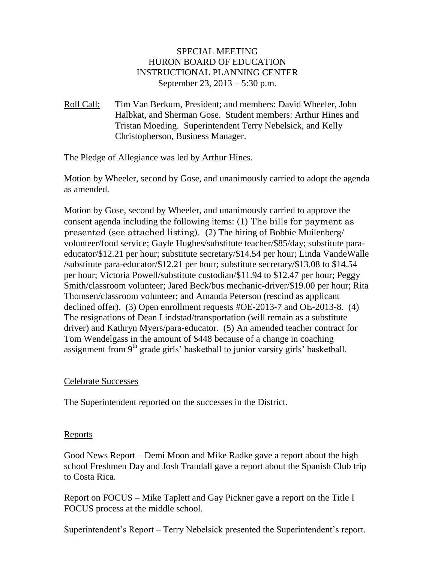## SPECIAL MEETING HURON BOARD OF EDUCATION INSTRUCTIONAL PLANNING CENTER September 23, 2013 – 5:30 p.m.

Roll Call: Tim Van Berkum, President; and members: David Wheeler, John Halbkat, and Sherman Gose. Student members: Arthur Hines and Tristan Moeding. Superintendent Terry Nebelsick, and Kelly Christopherson, Business Manager.

The Pledge of Allegiance was led by Arthur Hines.

Motion by Wheeler, second by Gose, and unanimously carried to adopt the agenda as amended.

Motion by Gose, second by Wheeler, and unanimously carried to approve the consent agenda including the following items: (1) The bills for payment as presented (see attached listing). (2) The hiring of Bobbie Muilenberg/ volunteer/food service; Gayle Hughes/substitute teacher/\$85/day; substitute paraeducator/\$12.21 per hour; substitute secretary/\$14.54 per hour; Linda VandeWalle /substitute para-educator/\$12.21 per hour; substitute secretary/\$13.08 to \$14.54 per hour; Victoria Powell/substitute custodian/\$11.94 to \$12.47 per hour; Peggy Smith/classroom volunteer; Jared Beck/bus mechanic-driver/\$19.00 per hour; Rita Thomsen/classroom volunteer; and Amanda Peterson (rescind as applicant declined offer). (3) Open enrollment requests #OE-2013-7 and OE-2013-8. (4) The resignations of Dean Lindstad/transportation (will remain as a substitute driver) and Kathryn Myers/para-educator. (5) An amended teacher contract for Tom Wendelgass in the amount of \$448 because of a change in coaching assignment from 9<sup>th</sup> grade girls' basketball to junior varsity girls' basketball.

## Celebrate Successes

The Superintendent reported on the successes in the District.

## Reports

Good News Report – Demi Moon and Mike Radke gave a report about the high school Freshmen Day and Josh Trandall gave a report about the Spanish Club trip to Costa Rica.

Report on FOCUS – Mike Taplett and Gay Pickner gave a report on the Title I FOCUS process at the middle school.

Superintendent's Report – Terry Nebelsick presented the Superintendent's report.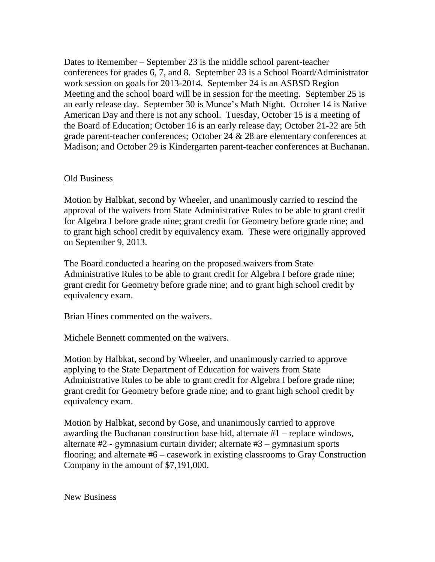Dates to Remember – September 23 is the middle school parent-teacher conferences for grades 6, 7, and 8. September 23 is a School Board/Administrator work session on goals for 2013-2014. September 24 is an ASBSD Region Meeting and the school board will be in session for the meeting. September 25 is an early release day. September 30 is Munce's Math Night. October 14 is Native American Day and there is not any school. Tuesday, October 15 is a meeting of the Board of Education; October 16 is an early release day; October 21-22 are 5th grade parent-teacher conferences; October 24 & 28 are elementary conferences at Madison; and October 29 is Kindergarten parent-teacher conferences at Buchanan.

## Old Business

Motion by Halbkat, second by Wheeler, and unanimously carried to rescind the approval of the waivers from State Administrative Rules to be able to grant credit for Algebra I before grade nine; grant credit for Geometry before grade nine; and to grant high school credit by equivalency exam. These were originally approved on September 9, 2013.

The Board conducted a hearing on the proposed waivers from State Administrative Rules to be able to grant credit for Algebra I before grade nine; grant credit for Geometry before grade nine; and to grant high school credit by equivalency exam.

Brian Hines commented on the waivers.

Michele Bennett commented on the waivers.

Motion by Halbkat, second by Wheeler, and unanimously carried to approve applying to the State Department of Education for waivers from State Administrative Rules to be able to grant credit for Algebra I before grade nine; grant credit for Geometry before grade nine; and to grant high school credit by equivalency exam.

Motion by Halbkat, second by Gose, and unanimously carried to approve awarding the Buchanan construction base bid, alternate #1 – replace windows, alternate #2 - gymnasium curtain divider; alternate #3 – gymnasium sports flooring; and alternate #6 – casework in existing classrooms to Gray Construction Company in the amount of \$7,191,000.

New Business